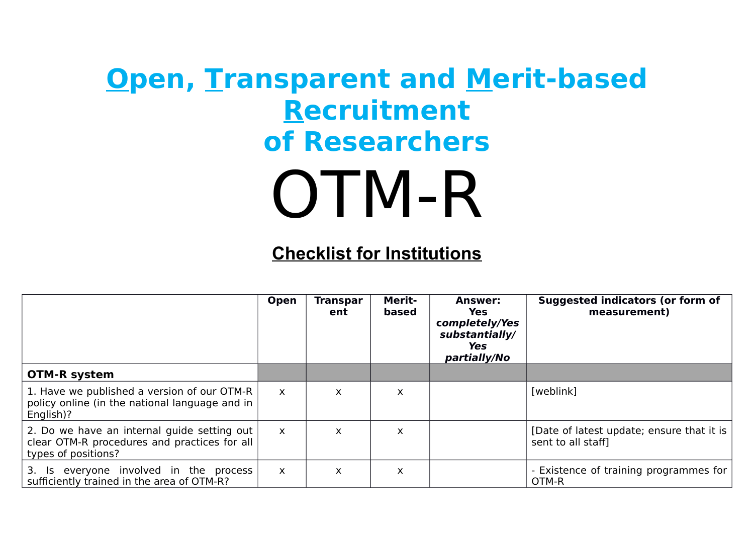## **Open, Transparent and Merit-based Recruitment of Researchers** OTM-R

## **Checklist for Institutions**

|                                                                                                                    | Open         | Transpar<br>ent | <b>Merit-</b><br>based    | <b>Answer:</b><br>Yes<br>completely/Yes<br>substantially/<br>Yes<br>partially/No | <b>Suggested indicators (or form of</b><br>measurement)         |
|--------------------------------------------------------------------------------------------------------------------|--------------|-----------------|---------------------------|----------------------------------------------------------------------------------|-----------------------------------------------------------------|
| <b>OTM-R system</b>                                                                                                |              |                 |                           |                                                                                  |                                                                 |
| 1. Have we published a version of our OTM-R<br>policy online (in the national language and in<br>English)?         | $\mathsf{x}$ | X               | X                         |                                                                                  | [weblink]                                                       |
| 2. Do we have an internal guide setting out<br>clear OTM-R procedures and practices for all<br>types of positions? | $\mathsf{x}$ | X               | X                         |                                                                                  | [Date of latest update; ensure that it is<br>sent to all staff] |
| 3. Is everyone involved in the process<br>sufficiently trained in the area of OTM-R?                               | $\mathsf{x}$ | X               | $\boldsymbol{\mathsf{x}}$ |                                                                                  | - Existence of training programmes for<br>OTM-R                 |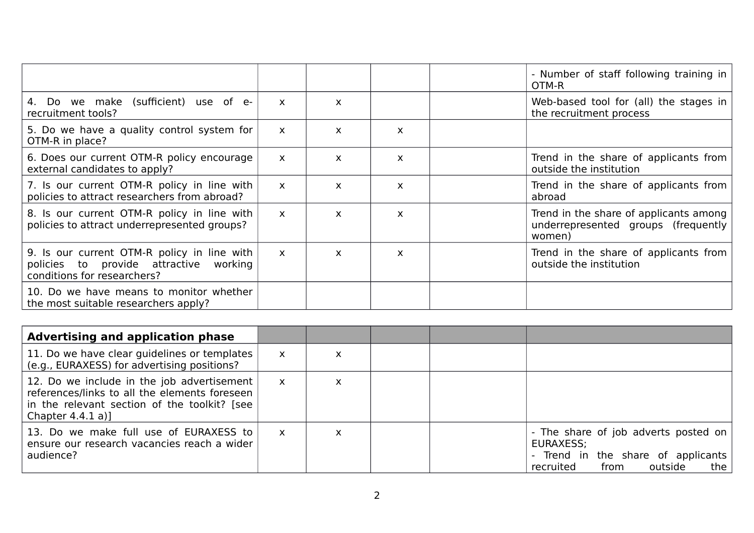|                                                                                                                      |              |              |              | - Number of staff following training in                                                 |
|----------------------------------------------------------------------------------------------------------------------|--------------|--------------|--------------|-----------------------------------------------------------------------------------------|
|                                                                                                                      |              |              |              | OTM-R                                                                                   |
| 4. Do we make (sufficient) use of e-<br>recruitment tools?                                                           | $\mathsf{x}$ | $\mathsf{x}$ |              | Web-based tool for (all) the stages in<br>the recruitment process                       |
| 5. Do we have a quality control system for<br>OTM-R in place?                                                        | $\mathsf{x}$ | $\mathsf{x}$ | X            |                                                                                         |
| 6. Does our current OTM-R policy encourage<br>external candidates to apply?                                          | $\mathsf{x}$ | $\mathsf{x}$ | X            | Trend in the share of applicants from<br>outside the institution                        |
| 7. Is our current OTM-R policy in line with<br>policies to attract researchers from abroad?                          | $\mathsf{x}$ | $\mathsf{x}$ | $\mathsf{x}$ | Trend in the share of applicants from<br>abroad                                         |
| 8. Is our current OTM-R policy in line with<br>policies to attract underrepresented groups?                          | $\mathsf{x}$ | $\mathsf{x}$ | X            | Trend in the share of applicants among<br>underrepresented groups (frequently<br>women) |
| 9. Is our current OTM-R policy in line with<br>policies to provide attractive working<br>conditions for researchers? | $\mathsf{x}$ | X            | X            | Trend in the share of applicants from<br>outside the institution                        |
| 10. Do we have means to monitor whether<br>the most suitable researchers apply?                                      |              |              |              |                                                                                         |

| <b>Advertising and application phase</b>                                                                                                                           |              |   |  |                                                                                                                                |
|--------------------------------------------------------------------------------------------------------------------------------------------------------------------|--------------|---|--|--------------------------------------------------------------------------------------------------------------------------------|
| 11. Do we have clear guidelines or templates<br>(e.g., EURAXESS) for advertising positions?                                                                        | X            | X |  |                                                                                                                                |
| 12. Do we include in the job advertisement<br>references/links to all the elements foreseen<br>in the relevant section of the toolkit? [see<br>Chapter $4.4.1 a$ ] | $\mathsf{X}$ | X |  |                                                                                                                                |
| 13. Do we make full use of EURAXESS to<br>ensure our research vacancies reach a wider<br>audience?                                                                 | X            | X |  | - The share of job adverts posted on<br>EURAXESS;<br>- Trend in the share of applicants<br>outside<br>from<br>the<br>recruited |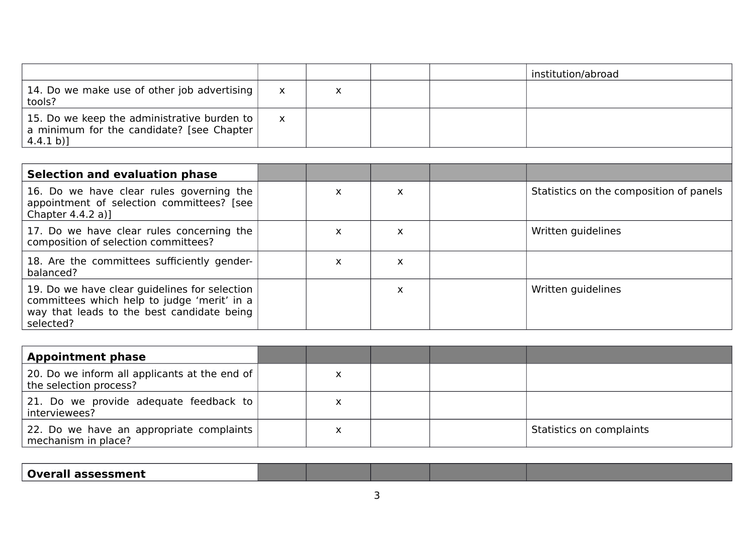|                                                                                                           |   |  | institution/abroad |
|-----------------------------------------------------------------------------------------------------------|---|--|--------------------|
| 14. Do we make use of other job advertising<br>tools?                                                     | X |  |                    |
| 15. Do we keep the administrative burden to<br>a minimum for the candidate? [see Chapter<br>$(4.4.1 b)$ ] | X |  |                    |
|                                                                                                           |   |  |                    |

| <b>Selection and evaluation phase</b>                                                                                                                   |   |    |                                         |
|---------------------------------------------------------------------------------------------------------------------------------------------------------|---|----|-----------------------------------------|
| 16. Do we have clear rules governing the<br>appointment of selection committees? [see ]<br>Chapter $4.4.2 a$ ]                                          | X | X  | Statistics on the composition of panels |
| 17. Do we have clear rules concerning the<br>composition of selection committees?                                                                       | X | X  | Written guidelines                      |
| 18. Are the committees sufficiently gender-<br>balanced?                                                                                                | X | X. |                                         |
| 19. Do we have clear guidelines for selection<br>committees which help to judge 'merit' in a<br>way that leads to the best candidate being<br>selected? |   | X  | Written guidelines                      |

| <b>Appointment phase</b>                                                  |  |  |                          |
|---------------------------------------------------------------------------|--|--|--------------------------|
| 20. Do we inform all applicants at the end of  <br>the selection process? |  |  |                          |
| 21. Do we provide adequate feedback to $\vert$<br>interviewees?           |  |  |                          |
| 22. Do we have an appropriate complaints<br>mechanism in place?           |  |  | Statistics on complaints |

**Overall assessment**